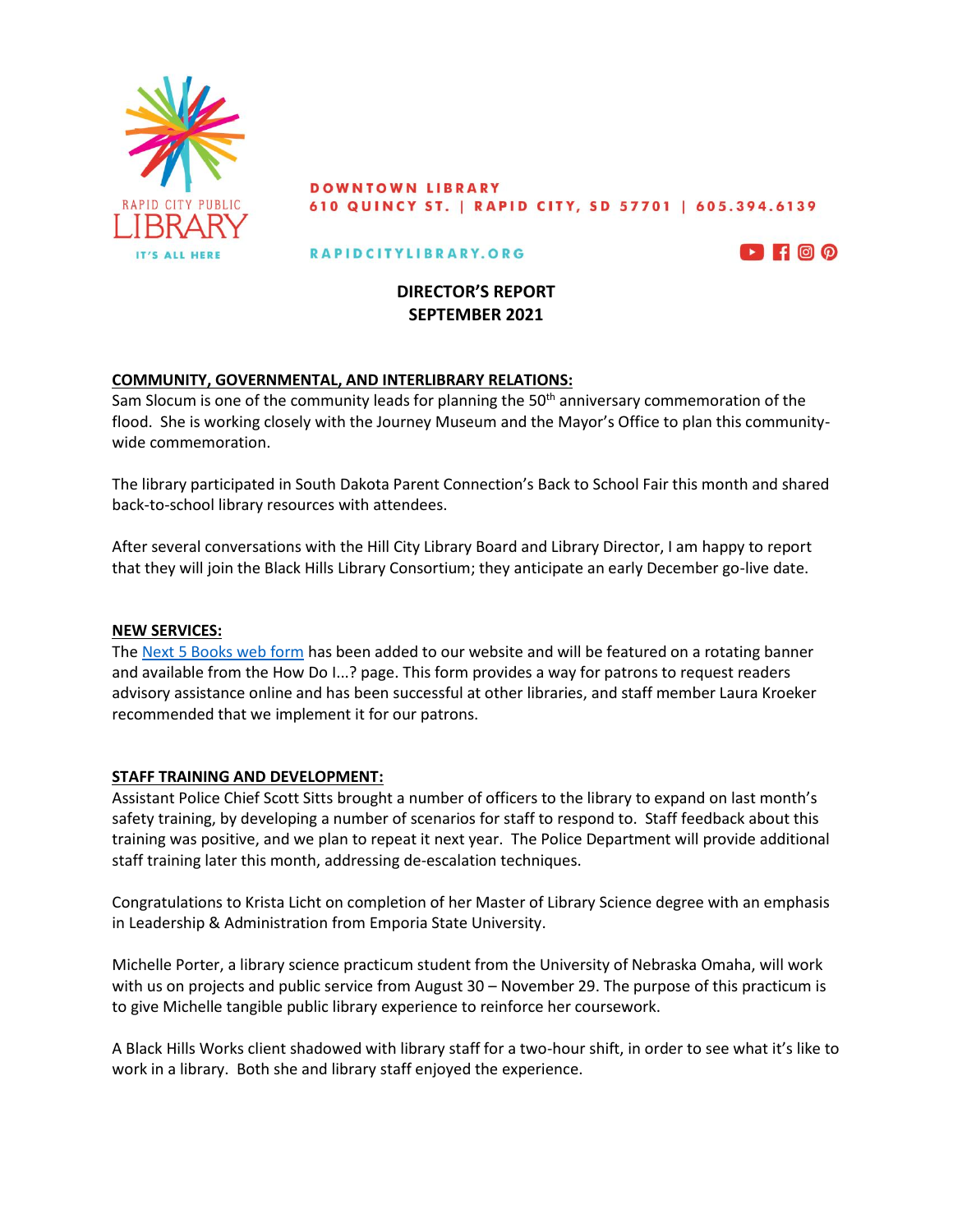

#### **DOWNTOWN LIBRARY** 610 QUINCY ST. | RAPID CITY, SD 57701 | 605.394.6139

#### RAPIDCITYLIBRARY.ORG



# **DIRECTOR'S REPORT SEPTEMBER 2021**

## **COMMUNITY, GOVERNMENTAL, AND INTERLIBRARY RELATIONS:**

Sam Slocum is one of the community leads for planning the  $50<sup>th</sup>$  anniversary commemoration of the flood. She is working closely with the Journey Museum and the Mayor's Office to plan this communitywide commemoration.

The library participated in South Dakota Parent Connection's Back to School Fair this month and shared back-to-school library resources with attendees.

After several conversations with the Hill City Library Board and Library Director, I am happy to report that they will join the Black Hills Library Consortium; they anticipate an early December go-live date.

## **NEW SERVICES:**

The [Next 5 Books web form](https://rapidcitylibrary.org/your-next-5-books) has been added to our website and will be featured on a rotating banner and available from the How Do I...? page. This form provides a way for patrons to request readers advisory assistance online and has been successful at other libraries, and staff member Laura Kroeker recommended that we implement it for our patrons.

## **STAFF TRAINING AND DEVELOPMENT:**

Assistant Police Chief Scott Sitts brought a number of officers to the library to expand on last month's safety training, by developing a number of scenarios for staff to respond to. Staff feedback about this training was positive, and we plan to repeat it next year. The Police Department will provide additional staff training later this month, addressing de-escalation techniques.

Congratulations to Krista Licht on completion of her Master of Library Science degree with an emphasis in Leadership & Administration from Emporia State University.

Michelle Porter, a library science practicum student from the University of Nebraska Omaha, will work with us on projects and public service from August 30 – November 29. The purpose of this practicum is to give Michelle tangible public library experience to reinforce her coursework.

A Black Hills Works client shadowed with library staff for a two-hour shift, in order to see what it's like to work in a library. Both she and library staff enjoyed the experience.